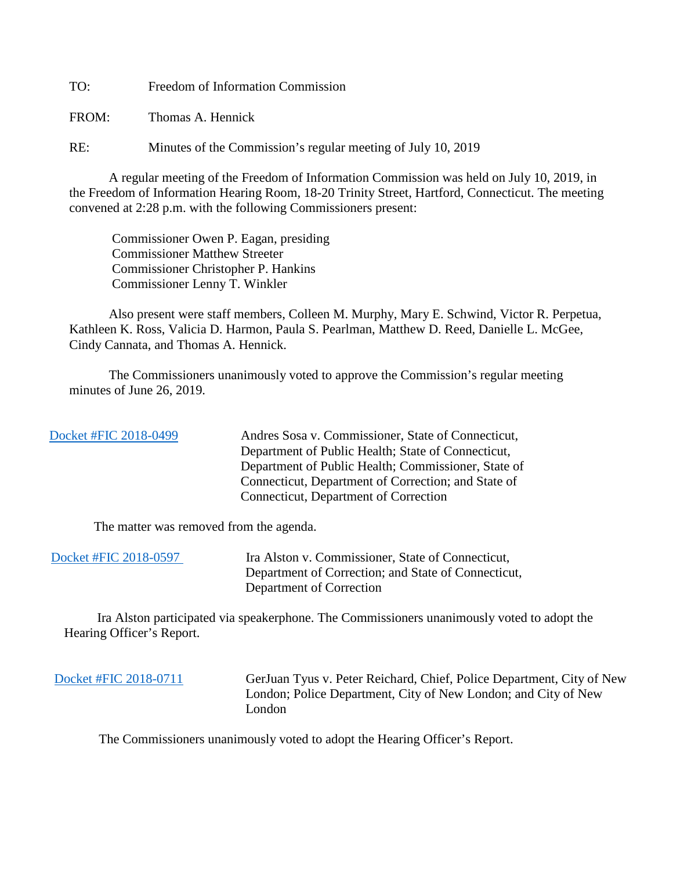TO: Freedom of Information Commission

FROM: Thomas A. Hennick

RE: Minutes of the Commission's regular meeting of July 10, 2019

A regular meeting of the Freedom of Information Commission was held on July 10, 2019, in the Freedom of Information Hearing Room, 18-20 Trinity Street, Hartford, Connecticut. The meeting convened at 2:28 p.m. with the following Commissioners present:

 Commissioner Owen P. Eagan, presiding Commissioner Matthew Streeter Commissioner Christopher P. Hankins Commissioner Lenny T. Winkler

 Also present were staff members, Colleen M. Murphy, Mary E. Schwind, Victor R. Perpetua, Kathleen K. Ross, Valicia D. Harmon, Paula S. Pearlman, Matthew D. Reed, Danielle L. McGee, Cindy Cannata, and Thomas A. Hennick.

The Commissioners unanimously voted to approve the Commission's regular meeting minutes of June 26, 2019.

| Docket #FIC 2018-0499 | Andres Sosa v. Commissioner, State of Connecticut,  |
|-----------------------|-----------------------------------------------------|
|                       | Department of Public Health; State of Connecticut,  |
|                       | Department of Public Health; Commissioner, State of |
|                       | Connecticut, Department of Correction; and State of |
|                       | Connecticut, Department of Correction               |
|                       |                                                     |

The matter was removed from the agenda.

| Docket #FIC 2018-0597 | Ira Alston v. Commissioner, State of Connecticut,   |
|-----------------------|-----------------------------------------------------|
|                       | Department of Correction; and State of Connecticut, |
|                       | Department of Correction                            |

 Ira Alston participated via speakerphone. The Commissioners unanimously voted to adopt the Hearing Officer's Report.

 [Docket #FIC 2018-0711](https://portal.ct.gov/-/media/FOI/Minutes/2019/July10/2018-711.pdf?la=en) GerJuan Tyus v. Peter Reichard, Chief, Police Department, City of New London; Police Department, City of New London; and City of New London

The Commissioners unanimously voted to adopt the Hearing Officer's Report.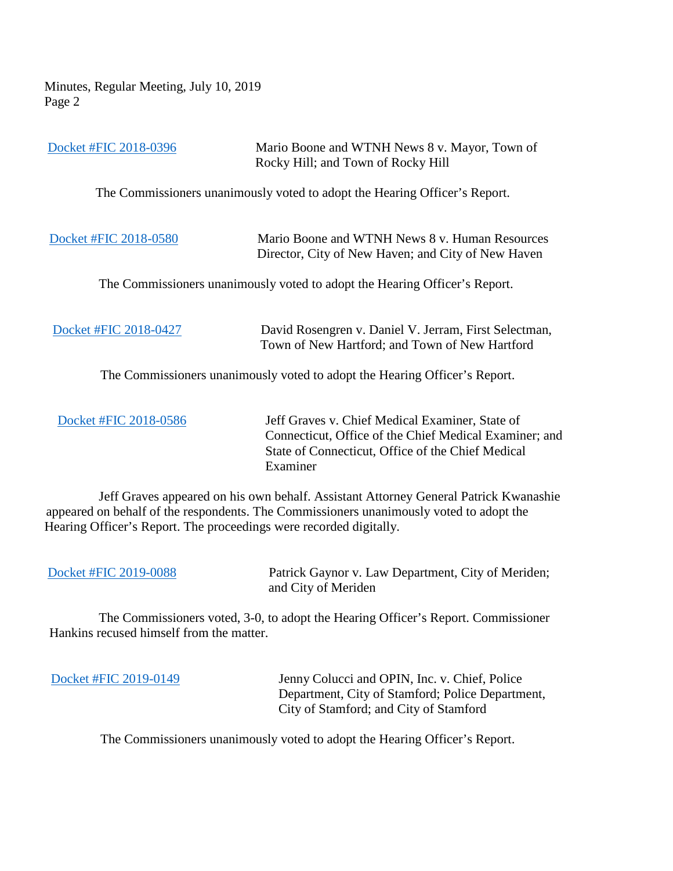Minutes, Regular Meeting, July 10, 2019 Page 2

| Docket #FIC 2018-0396                                              | Mario Boone and WTNH News 8 v. Mayor, Town of<br>Rocky Hill; and Town of Rocky Hill                                                                                             |
|--------------------------------------------------------------------|---------------------------------------------------------------------------------------------------------------------------------------------------------------------------------|
|                                                                    | The Commissioners unanimously voted to adopt the Hearing Officer's Report.                                                                                                      |
| Docket #FIC 2018-0580                                              | Mario Boone and WTNH News 8 v. Human Resources<br>Director, City of New Haven; and City of New Haven                                                                            |
|                                                                    | The Commissioners unanimously voted to adopt the Hearing Officer's Report.                                                                                                      |
| Docket #FIC 2018-0427                                              | David Rosengren v. Daniel V. Jerram, First Selectman,<br>Town of New Hartford; and Town of New Hartford                                                                         |
|                                                                    | The Commissioners unanimously voted to adopt the Hearing Officer's Report.                                                                                                      |
| Docket #FIC 2018-0586                                              | Jeff Graves v. Chief Medical Examiner, State of<br>Connecticut, Office of the Chief Medical Examiner; and<br>State of Connecticut, Office of the Chief Medical<br>Examiner      |
| Hearing Officer's Report. The proceedings were recorded digitally. | Jeff Graves appeared on his own behalf. Assistant Attorney General Patrick Kwanashie<br>appeared on behalf of the respondents. The Commissioners unanimously voted to adopt the |
| Docket #FIC 2019-0088                                              | Patrick Gaynor v. Law Department, City of Meriden;                                                                                                                              |

 The Commissioners voted, 3-0, to adopt the Hearing Officer's Report. Commissioner Hankins recused himself from the matter.

and City of Meriden

 [Docket #FIC 2019-0149](https://portal.ct.gov/-/media/FOI/Minutes/2019/July10/2019-0149.pdf?la=en) Jenny Colucci and OPIN, Inc. v. Chief, Police Department, City of Stamford; Police Department, City of Stamford; and City of Stamford

The Commissioners unanimously voted to adopt the Hearing Officer's Report.